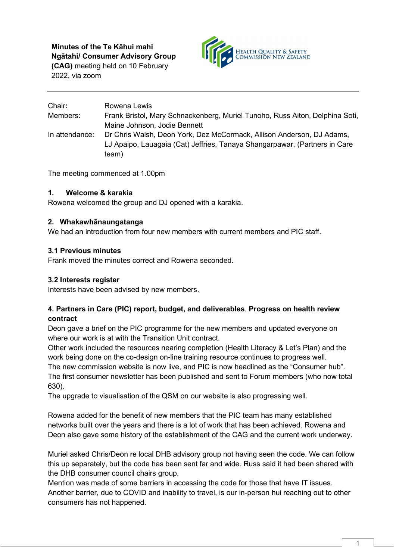**Minutes of the Te Kāhui mahi Ngātahi/ Consumer Advisory Group** 

**(CAG)** meeting held on 10 February 2022, via zoom



| Chair:         | Rowena Lewis                                                                 |
|----------------|------------------------------------------------------------------------------|
| Members:       | Frank Bristol, Mary Schnackenberg, Muriel Tunoho, Russ Aiton, Delphina Soti, |
|                | Maine Johnson, Jodie Bennett                                                 |
| In attendance: | Dr Chris Walsh, Deon York, Dez McCormack, Allison Anderson, DJ Adams,        |
|                | LJ Apaipo, Lauagaia (Cat) Jeffries, Tanaya Shangarpawar, (Partners in Care   |
|                | team)                                                                        |

The meeting commenced at 1.00pm

# **1. Welcome & karakia**

Rowena welcomed the group and DJ opened with a karakia.

### **2. Whakawhānaungatanga**

We had an introduction from four new members with current members and PIC staff.

### **3.1 Previous minutes**

Frank moved the minutes correct and Rowena seconded.

### **3.2 Interests register**

Interests have been advised by new members.

### **4. Partners in Care (PIC) report, budget, and deliverables**. **Progress on health review contract**

Deon gave a brief on the PIC programme for the new members and updated everyone on where our work is at with the Transition Unit contract.

Other work included the resources nearing completion (Health Literacy & Let's Plan) and the work being done on the co-design on-line training resource continues to progress well.

The new commission website is now live, and PIC is now headlined as the "Consumer hub". The first consumer newsletter has been published and sent to Forum members (who now total 630).

The upgrade to visualisation of the QSM on our website is also progressing well.

Rowena added for the benefit of new members that the PIC team has many established networks built over the years and there is a lot of work that has been achieved. Rowena and Deon also gave some history of the establishment of the CAG and the current work underway.

Muriel asked Chris/Deon re local DHB advisory group not having seen the code. We can follow this up separately, but the code has been sent far and wide. Russ said it had been shared with the DHB consumer council chairs group.

Mention was made of some barriers in accessing the code for those that have IT issues. Another barrier, due to COVID and inability to travel, is our in-person hui reaching out to other consumers has not happened.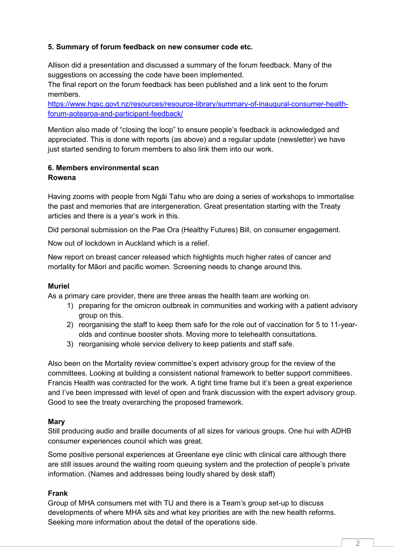# **5. Summary of forum feedback on new consumer code etc.**

Allison did a presentation and discussed a summary of the forum feedback. Many of the suggestions on accessing the code have been implemented.

The final report on the forum feedback has been published and a link sent to the forum members.

[https://www.hqsc.govt.nz/resources/resource-library/summary-of-inaugural-consumer-health](https://www.hqsc.govt.nz/resources/resource-library/summary-of-inaugural-consumer-health-forum-aotearoa-and-participant-feedback/)[forum-aotearoa-and-participant-feedback/](https://www.hqsc.govt.nz/resources/resource-library/summary-of-inaugural-consumer-health-forum-aotearoa-and-participant-feedback/)

Mention also made of "closing the loop" to ensure people's feedback is acknowledged and appreciated. This is done with reports (as above) and a regular update (newsletter) we have just started sending to forum members to also link them into our work.

# **6. Members environmental scan Rowena**

Having zooms with people from Ngāi Tahu who are doing a series of workshops to immortalise the past and memories that are intergeneration. Great presentation starting with the Treaty articles and there is a year's work in this.

Did personal submission on the Pae Ora (Healthy Futures) Bill, on consumer engagement.

Now out of lockdown in Auckland which is a relief.

New report on breast cancer released which highlights much higher rates of cancer and mortality for Māori and pacific women. Screening needs to change around this.

# **Muriel**

As a primary care provider, there are three areas the health team are working on.

- 1) preparing for the omicron outbreak in communities and working with a patient advisory group on this.
- 2) reorganising the staff to keep them safe for the role out of vaccination for 5 to 11-yearolds and continue booster shots. Moving more to telehealth consultations.
- 3) reorganising whole service delivery to keep patients and staff safe.

Also been on the Mortality review committee's expert advisory group for the review of the committees. Looking at building a consistent national framework to better support committees. Francis Health was contracted for the work. A tight time frame but it's been a great experience and I've been impressed with level of open and frank discussion with the expert advisory group. Good to see the treaty overarching the proposed framework.

# **Mary**

Still producing audio and braille documents of all sizes for various groups. One hui with ADHB consumer experiences council which was great.

Some positive personal experiences at Greenlane eye clinic with clinical care although there are still issues around the waiting room queuing system and the protection of people's private information. (Names and addresses being loudly shared by desk staff)

# **Frank**

Group of MHA consumers met with TU and there is a Team's group set-up to discuss developments of where MHA sits and what key priorities are with the new health reforms. Seeking more information about the detail of the operations side.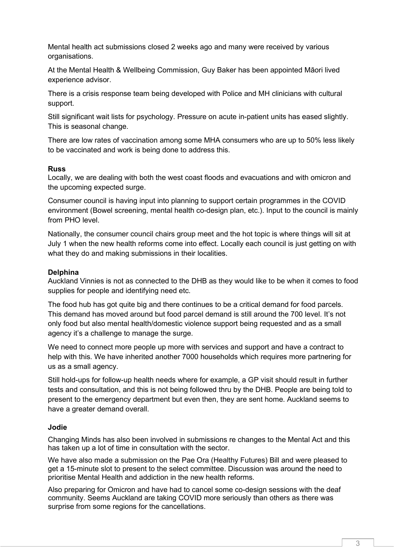Mental health act submissions closed 2 weeks ago and many were received by various organisations.

At the Mental Health & Wellbeing Commission, Guy Baker has been appointed Māori lived experience advisor.

There is a crisis response team being developed with Police and MH clinicians with cultural support.

Still significant wait lists for psychology. Pressure on acute in-patient units has eased slightly. This is seasonal change.

There are low rates of vaccination among some MHA consumers who are up to 50% less likely to be vaccinated and work is being done to address this.

#### **Russ**

Locally, we are dealing with both the west coast floods and evacuations and with omicron and the upcoming expected surge.

Consumer council is having input into planning to support certain programmes in the COVID environment (Bowel screening, mental health co-design plan, etc.). Input to the council is mainly from PHO level.

Nationally, the consumer council chairs group meet and the hot topic is where things will sit at July 1 when the new health reforms come into effect. Locally each council is just getting on with what they do and making submissions in their localities.

### **Delphina**

Auckland Vinnies is not as connected to the DHB as they would like to be when it comes to food supplies for people and identifying need etc.

The food hub has got quite big and there continues to be a critical demand for food parcels. This demand has moved around but food parcel demand is still around the 700 level. It's not only food but also mental health/domestic violence support being requested and as a small agency it's a challenge to manage the surge.

We need to connect more people up more with services and support and have a contract to help with this. We have inherited another 7000 households which requires more partnering for us as a small agency.

Still hold-ups for follow-up health needs where for example, a GP visit should result in further tests and consultation, and this is not being followed thru by the DHB. People are being told to present to the emergency department but even then, they are sent home. Auckland seems to have a greater demand overall.

### **Jodie**

Changing Minds has also been involved in submissions re changes to the Mental Act and this has taken up a lot of time in consultation with the sector.

We have also made a submission on the Pae Ora (Healthy Futures) Bill and were pleased to get a 15-minute slot to present to the select committee. Discussion was around the need to prioritise Mental Health and addiction in the new health reforms.

Also preparing for Omicron and have had to cancel some co-design sessions with the deaf community. Seems Auckland are taking COVID more seriously than others as there was surprise from some regions for the cancellations.